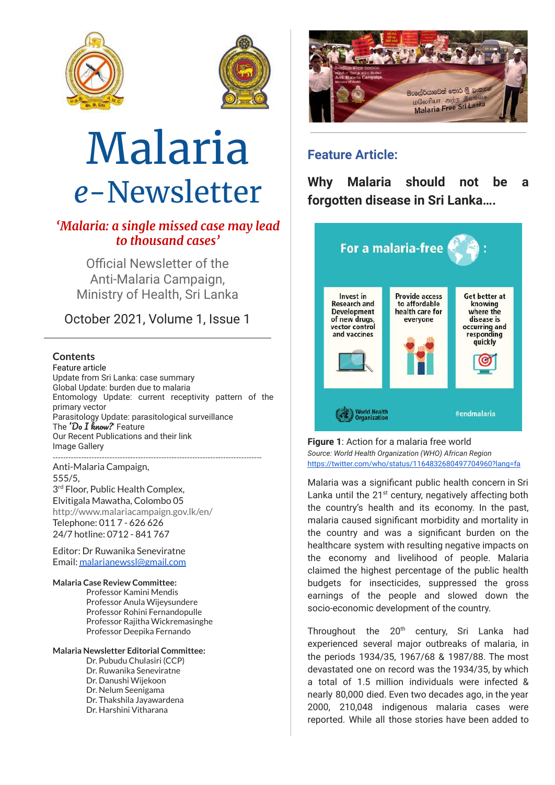



# Malaria *e*-Newsletter

# *'Malaria: a single missed case may lead to thousand cases'*

Official Newsletter of the Anti-Malaria Campaign, Ministry of Health, Sri Lanka

# October 2021, Volume 1, Issue 1

## **Contents**

Feature article Update from Sri Lanka: case summary Global Update: burden due to malaria Entomology Update: current receptivity pattern of the primary vector Parasitology Update: parasitological surveillance The 'Do I know?' Feature Our Recent Publications and their link Image Gallery

--------------------------------------------------------------------------------- Anti-Malaria Campaign, 555/5, 3<sup>rd</sup> Floor, Public Health Complex, Elvitigala Mawatha, Colombo 05 http://www.malariacampaign.gov.lk/en/ Telephone: 011 7 - 626 626 24/7 hotline: 0712 - 841 767

Editor: Dr Ruwanika Seneviratne Email: [malarianewssl@gmail.com](mailto:malarianewssl@gmail.com)

## **Malaria Case Review Committee:**

Professor Kamini Mendis Professor Anula Wijeysundere Professor Rohini Fernandopulle Professor Rajitha Wickremasinghe Professor Deepika Fernando

#### **Malaria Newsletter Editorial Committee:**

Dr. Pubudu Chulasiri (CCP) Dr. Ruwanika Seneviratne Dr. Danushi Wijekoon Dr. Nelum Seenigama Dr. Thakshila Jayawardena Dr. Harshini Vitharana



# **Feature Article:**

**Why Malaria should not be a forgotten disease in Sri Lanka….**



**Figure 1**: Action for a malaria free world *Source: World Health Organization (WHO) African Region* <https://twitter.com/who/status/1164832680497704960?lang=fa>

Malaria was a significant public health concern in Sri Lanka until the 21<sup>st</sup> century, negatively affecting both the country's health and its economy. In the past, malaria caused significant morbidity and mortality in the country and was a significant burden on the healthcare system with resulting negative impacts on the economy and livelihood of people. Malaria claimed the highest percentage of the public health budgets for insecticides, suppressed the gross earnings of the people and slowed down the socio-economic development of the country.

Throughout the 20<sup>th</sup> century, Sri Lanka had experienced several major outbreaks of malaria, in the periods 1934/35, 1967/68 & 1987/88. The most devastated one on record was the 1934/35, by which a total of 1.5 million individuals were infected & nearly 80,000 died. Even two decades ago, in the year 2000, 210,048 indigenous malaria cases were reported. While all those stories have been added to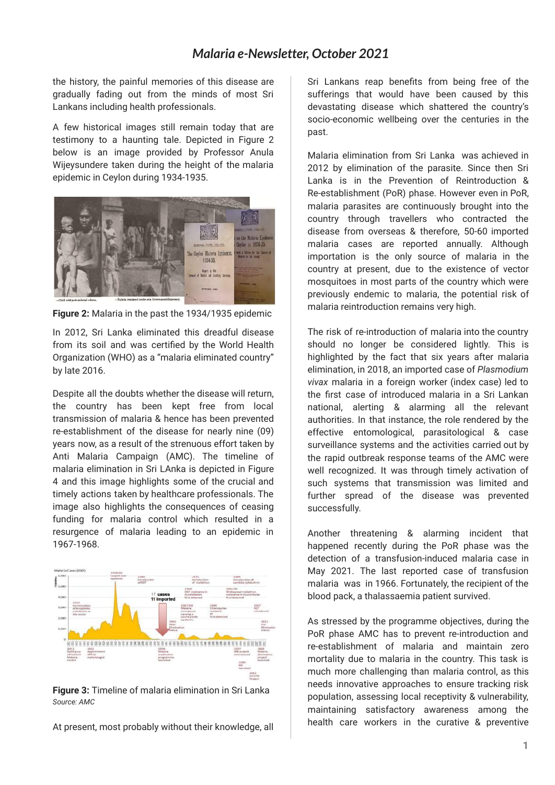the history, the painful memories of this disease are gradually fading out from the minds of most Sri Lankans including health professionals.

A few historical images still remain today that are testimony to a haunting tale. Depicted in Figure 2 below is an image provided by Professor Anula Wijeysundere taken during the height of the malaria epidemic in Ceylon during 1934-1935.



**Figure 2:** Malaria in the past the 1934/1935 epidemic

In 2012, Sri Lanka eliminated this dreadful disease from its soil and was certified by the World Health Organization (WHO) as a "malaria eliminated country" by late 2016.

Despite all the doubts whether the disease will return, the country has been kept free from local transmission of malaria & hence has been prevented re-establishment of the disease for nearly nine (09) years now, as a result of the strenuous effort taken by Anti Malaria Campaign (AMC). The timeline of malaria elimination in Sri LAnka is depicted in Figure 4 and this image highlights some of the crucial and timely actions taken by healthcare professionals. The image also highlights the consequences of ceasing funding for malaria control which resulted in a resurgence of malaria leading to an epidemic in 1967-1968.



**Figure 3:** Timeline of malaria elimination in Sri Lanka *Source: AMC*

At present, most probably without their knowledge, all

Sri Lankans reap benefits from being free of the sufferings that would have been caused by this devastating disease which shattered the country's socio-economic wellbeing over the centuries in the past.

Malaria elimination from Sri Lanka was achieved in 2012 by elimination of the parasite. Since then Sri Lanka is in the Prevention of Reintroduction & Re-establishment (PoR) phase. However even in PoR, malaria parasites are continuously brought into the country through travellers who contracted the disease from overseas & therefore, 50-60 imported malaria cases are reported annually. Although importation is the only source of malaria in the country at present, due to the existence of vector mosquitoes in most parts of the country which were previously endemic to malaria, the potential risk of malaria reintroduction remains very high.

The risk of re-introduction of malaria into the country should no longer be considered lightly. This is highlighted by the fact that six years after malaria elimination, in 2018, an imported case of *Plasmodium vivax* malaria in a foreign worker (index case) led to the first case of introduced malaria in a Sri Lankan national, alerting & alarming all the relevant authorities. In that instance, the role rendered by the effective entomological, parasitological & case surveillance systems and the activities carried out by the rapid outbreak response teams of the AMC were well recognized. It was through timely activation of such systems that transmission was limited and further spread of the disease was prevented successfully.

Another threatening & alarming incident that happened recently during the PoR phase was the detection of a transfusion-induced malaria case in May 2021. The last reported case of transfusion malaria was in 1966. Fortunately, the recipient of the blood pack, a thalassaemia patient survived.

As stressed by the programme objectives, during the PoR phase AMC has to prevent re-introduction and re-establishment of malaria and maintain zero mortality due to malaria in the country. This task is much more challenging than malaria control, as this needs innovative approaches to ensure tracking risk population, assessing local receptivity & vulnerability, maintaining satisfactory awareness among the health care workers in the curative & preventive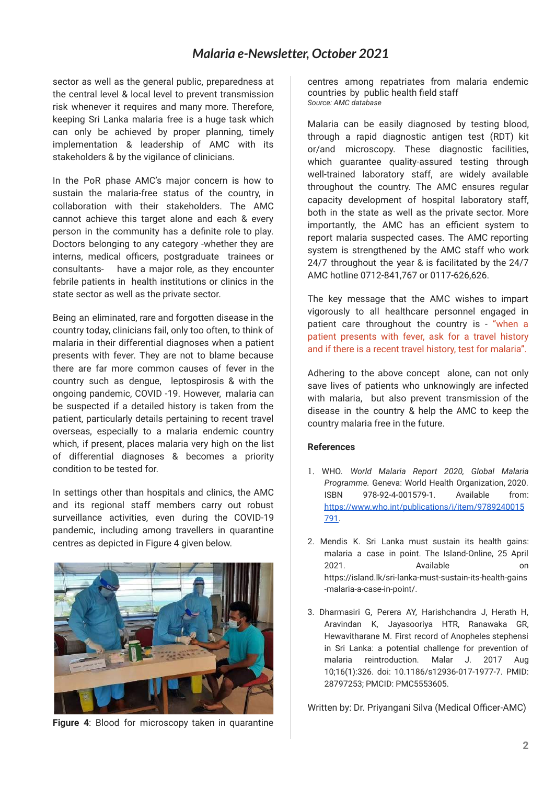sector as well as the general public, preparedness at the central level & local level to prevent transmission risk whenever it requires and many more. Therefore, keeping Sri Lanka malaria free is a huge task which can only be achieved by proper planning, timely implementation & leadership of AMC with its stakeholders & by the vigilance of clinicians.

In the PoR phase AMC's major concern is how to sustain the malaria-free status of the country, in collaboration with their stakeholders. The AMC cannot achieve this target alone and each & every person in the community has a definite role to play. Doctors belonging to any category -whether they are interns, medical officers, postgraduate trainees or consultants- have a major role, as they encounter febrile patients in health institutions or clinics in the state sector as well as the private sector.

Being an eliminated, rare and forgotten disease in the country today, clinicians fail, only too often, to think of malaria in their differential diagnoses when a patient presents with fever. They are not to blame because there are far more common causes of fever in the country such as dengue, leptospirosis & with the ongoing pandemic, COVID -19. However, malaria can be suspected if a detailed history is taken from the patient, particularly details pertaining to recent travel overseas, especially to a malaria endemic country which, if present, places malaria very high on the list of differential diagnoses & becomes a priority condition to be tested for.

In settings other than hospitals and clinics, the AMC and its regional staff members carry out robust surveillance activities, even during the COVID-19 pandemic, including among travellers in quarantine centres as depicted in Figure 4 given below.



**Figure 4**: Blood for microscopy taken in quarantine

centres among repatriates from malaria endemic countries by public health field staff *Source: AMC database*

Malaria can be easily diagnosed by testing blood, through a rapid diagnostic antigen test (RDT) kit or/and microscopy. These diagnostic facilities, which guarantee quality-assured testing through well-trained laboratory staff, are widely available throughout the country. The AMC ensures regular capacity development of hospital laboratory staff, both in the state as well as the private sector. More importantly, the AMC has an efficient system to report malaria suspected cases. The AMC reporting system is strengthened by the AMC staff who work 24/7 throughout the year & is facilitated by the 24/7 AMC hotline 0712-841,767 or 0117-626,626.

The key message that the AMC wishes to impart vigorously to all healthcare personnel engaged in patient care throughout the country is - "when a patient presents with fever, ask for a travel history and if there is a recent travel history, test for malaria".

Adhering to the above concept alone, can not only save lives of patients who unknowingly are infected with malaria, but also prevent transmission of the disease in the country & help the AMC to keep the country malaria free in the future.

## **References**

- 1. WHO. *World Malaria Report 2020, Global Malaria Programme.* Geneva: World Health Organization, 2020. ISBN 978-92-4-001579-1. Available from[:](https://www.who.int/publications/i/item/9789240015791) [https://www.who.int/publications/i/item/9789240015](https://www.who.int/publications/i/item/9789240015791) [791.](https://www.who.int/publications/i/item/9789240015791)
- 2. Mendis K. Sri Lanka must sustain its health gains: malaria a case in point. The Island-Online, 25 April 2021. Available on https://island.lk/sri-lanka-must-sustain-its-health-gains -malaria-a-case-in-point/.
- 3. Dharmasiri G, Perera AY, Harishchandra J, Herath H, Aravindan K, Jayasooriya HTR, Ranawaka GR, Hewavitharane M. First record of Anopheles stephensi in Sri Lanka: a potential challenge for prevention of malaria reintroduction. Malar J. 2017 Aug 10;16(1):326. doi: 10.1186/s12936-017-1977-7. PMID: 28797253; PMCID: PMC5553605.

Written by: Dr. Priyangani Silva (Medical Officer-AMC)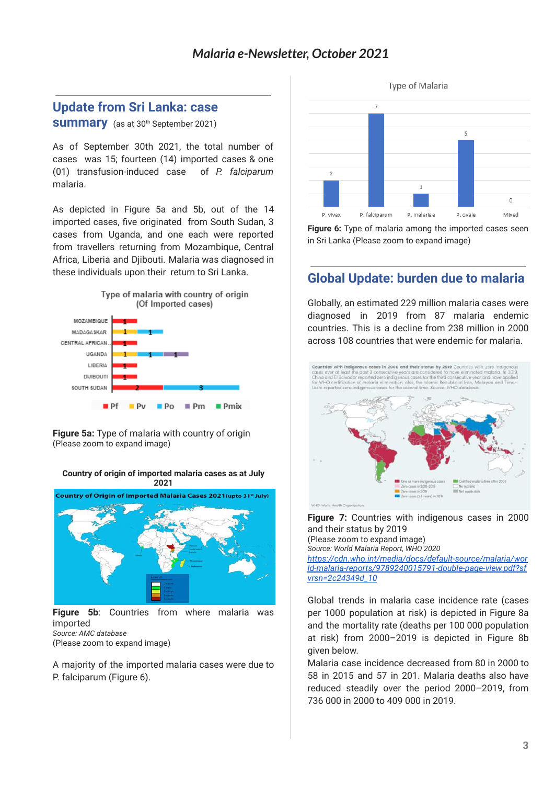# **Update from Sri Lanka: case**

**summary** (as at 30<sup>th</sup> September 2021)

As of September 30th 2021, the total number of cases was 15; fourteen (14) imported cases & one (01) transfusion-induced case of *P. falciparum* malaria.

As depicted in Figure 5a and 5b, out of the 14 imported cases, five originated from South Sudan, 3 cases from Uganda, and one each were reported from travellers returning from Mozambique, Central Africa, Liberia and Djibouti. Malaria was diagnosed in these individuals upon their return to Sri Lanka.



**Figure 5a:** Type of malaria with country of origin (Please zoom to expand image)



**Figure 5b**: Countries from where malaria was imported *Source: AMC database* (Please zoom to expand image)

A majority of the imported malaria cases were due to P. falciparum (Figure 6).



**Figure 6:** Type of malaria among the imported cases seen in Sri Lanka (Please zoom to expand image)

# **Global Update: burden due to malaria**

Globally, an estimated 229 million malaria cases were diagnosed in 2019 from 87 malaria endemic countries. This is a decline from 238 million in 2000 across 108 countries that were endemic for malaria.



**Figure 7:** Countries with indigenous cases in 2000 and their status by 2019 (Please zoom to expand image) *Source: World Malaria Report, WHO 2020 [https://cdn.who.int/media/docs/default-source/malaria/wor](https://cdn.who.int/media/docs/default-source/malaria/world-malaria-reports/9789240015791-double-page-view.pdf?sfvrsn=2c24349d_10) [ld-malaria-reports/9789240015791-double-page-view.pdf?sf](https://cdn.who.int/media/docs/default-source/malaria/world-malaria-reports/9789240015791-double-page-view.pdf?sfvrsn=2c24349d_10) [vrsn=2c24349d\\_10](https://cdn.who.int/media/docs/default-source/malaria/world-malaria-reports/9789240015791-double-page-view.pdf?sfvrsn=2c24349d_10)*

Global trends in malaria case incidence rate (cases per 1000 population at risk) is depicted in Figure 8a and the mortality rate (deaths per 100 000 population at risk) from 2000–2019 is depicted in Figure 8b given below.

Malaria case incidence decreased from 80 in 2000 to 58 in 2015 and 57 in 201. Malaria deaths also have reduced steadily over the period 2000–2019, from 736 000 in 2000 to 409 000 in 2019.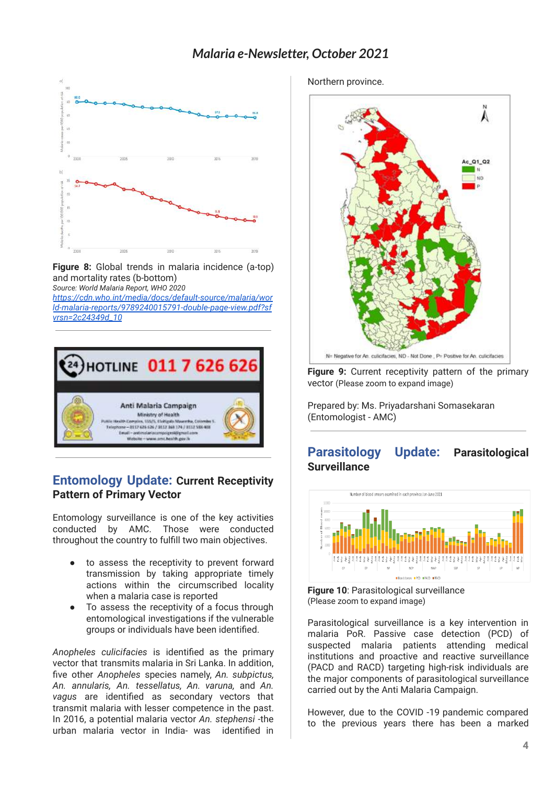



*[https://cdn.who.int/media/docs/default-source/malaria/wor](https://cdn.who.int/media/docs/default-source/malaria/world-malaria-reports/9789240015791-double-page-view.pdf?sfvrsn=2c24349d_10) [ld-malaria-reports/9789240015791-double-page-view.pdf?sf](https://cdn.who.int/media/docs/default-source/malaria/world-malaria-reports/9789240015791-double-page-view.pdf?sfvrsn=2c24349d_10) [vrsn=2c24349d\\_10](https://cdn.who.int/media/docs/default-source/malaria/world-malaria-reports/9789240015791-double-page-view.pdf?sfvrsn=2c24349d_10)*



## **Entomology Update: Current Receptivity Pattern of Primary Vector**

Entomology surveillance is one of the key activities conducted by AMC. Those were conducted throughout the country to fulfill two main objectives.

- to assess the receptivity to prevent forward transmission by taking appropriate timely actions within the circumscribed locality when a malaria case is reported
- To assess the receptivity of a focus through entomological investigations if the vulnerable groups or individuals have been identified.

*Anopheles culicifacies* is identified as the primary vector that transmits malaria in Sri Lanka. In addition, five other *Anopheles* species namely, *An. subpictus, An. annularis, An. tessellatus, An. varuna,* and *An. vagus* are identified as secondary vectors that transmit malaria with lesser competence in the past. In 2016, a potential malaria vector *An. stephensi* -the urban malaria vector in India- was identified in

Northern province.



**Figure 9:** Current receptivity pattern of the primary vector (Please zoom to expand image)

Prepared by: Ms. Priyadarshani Somasekaran (Entomologist - AMC)

# **Parasitology Update: Parasitological Surveillance**



**Figure 10**: Parasitological surveillance (Please zoom to expand image)

Parasitological surveillance is a key intervention in malaria PoR. Passive case detection (PCD) of suspected malaria patients attending medical institutions and proactive and reactive surveillance (PACD and RACD) targeting high-risk individuals are the major components of parasitological surveillance carried out by the Anti Malaria Campaign.

However, due to the COVID -19 pandemic compared to the previous years there has been a marked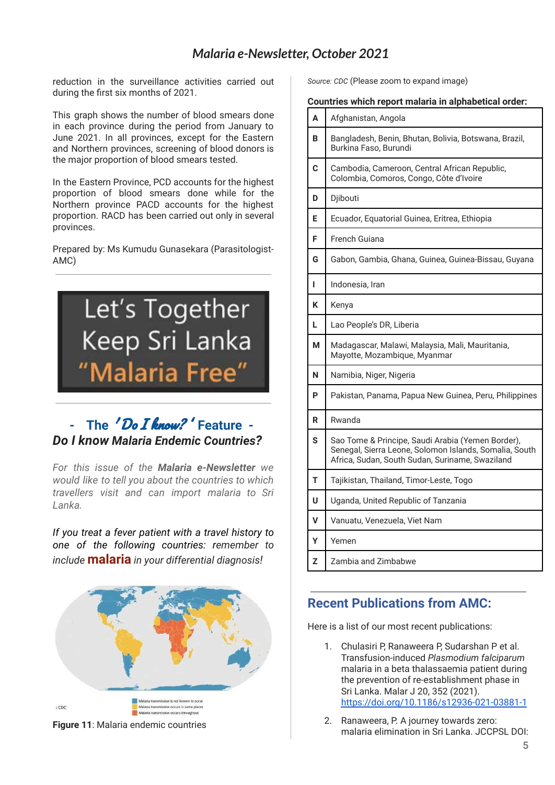reduction in the surveillance activities carried out during the first six months of 2021.

This graph shows the number of blood smears done in each province during the period from January to June 2021. In all provinces, except for the Eastern and Northern provinces, screening of blood donors is the major proportion of blood smears tested.

In the Eastern Province, PCD accounts for the highest proportion of blood smears done while for the Northern province PACD accounts for the highest proportion. RACD has been carried out only in several provinces.

Prepared by: Ms Kumudu Gunasekara (Parasitologist-AMC)



# *-* **The** '' Do I know? ' **Feature** *- Do I know Malaria Endemic Countries?*

*For this issue of the Malaria e-Newsletter we would like to tell you about the countries to which travellers visit and can import malaria to Sri Lanka.*

*If you treat a fever patient with a travel history to one of the following countries: remember to include* **malaria** *in your differential diagnosis!*



**Figure 11**: Malaria endemic countries

*Source: CDC* (Please zoom to expand image)

## **Countries which report malaria in alphabetical order:**

| A | Afghanistan, Angola                                                                                                                                            |  |
|---|----------------------------------------------------------------------------------------------------------------------------------------------------------------|--|
| B | Bangladesh, Benin, Bhutan, Bolivia, Botswana, Brazil,<br>Burkina Faso, Burundi                                                                                 |  |
| C | Cambodia, Cameroon, Central African Republic,<br>Colombia, Comoros, Congo, Côte d'Ivoire                                                                       |  |
| D | Djibouti                                                                                                                                                       |  |
| Е | Ecuador, Equatorial Guinea, Eritrea, Ethiopia                                                                                                                  |  |
| F | French Guiana                                                                                                                                                  |  |
| G | Gabon, Gambia, Ghana, Guinea, Guinea-Bissau, Guyana                                                                                                            |  |
| ı | Indonesia, Iran                                                                                                                                                |  |
| Κ | Kenya                                                                                                                                                          |  |
| L | Lao People's DR, Liberia                                                                                                                                       |  |
| м | Madagascar, Malawi, Malaysia, Mali, Mauritania,<br>Mayotte, Mozambique, Myanmar                                                                                |  |
| N | Namibia, Niger, Nigeria                                                                                                                                        |  |
| P | Pakistan, Panama, Papua New Guinea, Peru, Philippines                                                                                                          |  |
| R | Rwanda                                                                                                                                                         |  |
| S | Sao Tome & Principe, Saudi Arabia (Yemen Border),<br>Senegal, Sierra Leone, Solomon Islands, Somalia, South<br>Africa, Sudan, South Sudan, Suriname, Swaziland |  |
| T | Tajikistan, Thailand, Timor-Leste, Togo                                                                                                                        |  |
| U | Uganda, United Republic of Tanzania                                                                                                                            |  |
| V | Vanuatu, Venezuela, Viet Nam                                                                                                                                   |  |
| Υ | Yemen                                                                                                                                                          |  |
| Z | Zambia and Zimbabwe                                                                                                                                            |  |

# **Recent Publications from AMC:**

Here is a list of our most recent publications:

- 1. Chulasiri P, Ranaweera P, Sudarshan P et al. Transfusion-induced *Plasmodium falciparum* malaria in a beta thalassaemia patient during the prevention of re-establishment phase in Sri Lanka. Malar J 20, 352 (2021). <https://doi.org/10.1186/s12936-021-03881-1>
- 2. Ranaweera, P. A journey towards zero: malaria elimination in Sri Lanka. JCCPSL DOI: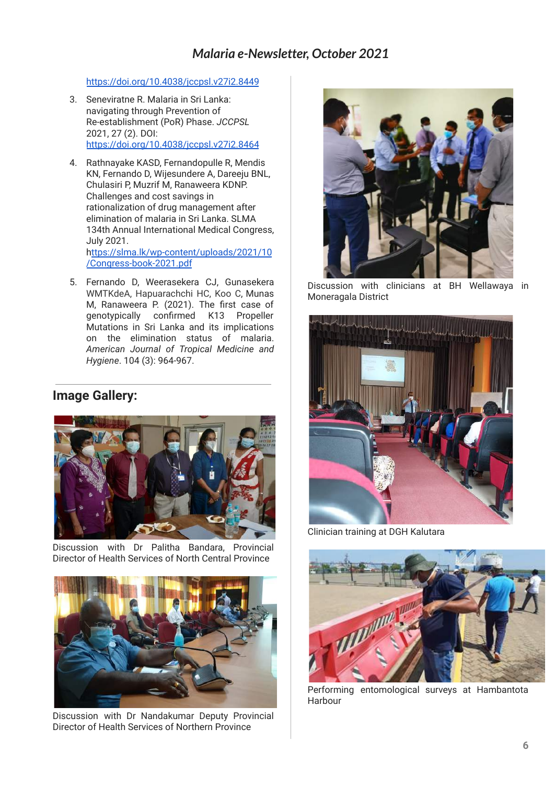<https://doi.org/10.4038/jccpsl.v27i2.8449>

- 3. Seneviratne R. Malaria in Sri Lanka: navigating through Prevention of Re-establishment (PoR) Phase. *JCCPSL* 2021, 27 (2). DOI: <https://doi.org/10.4038/jccpsl.v27i2.8464>
- 4. Rathnayake KASD, Fernandopulle R, Mendis KN, Fernando D, Wijesundere A, Dareeju BNL, Chulasiri P, Muzrif M, Ranaweera KDNP. Challenges and cost savings in rationalization of drug management after elimination of malaria in Sri Lanka. SLMA 134th Annual International Medical Congress, July 2021. [https://slma.lk/wp-content/uploads/2021/10](https://slma.lk/wp-content/uploads/2021/10/Congress-book-2021.pdf) [/Congress-book-2021.pdf](https://slma.lk/wp-content/uploads/2021/10/Congress-book-2021.pdf)
- 5. Fernando D, Weerasekera CJ, Gunasekera WMTKdeA, Hapuarachchi HC, Koo C, Munas M, Ranaweera P. (2021). The first case of genotypically confirmed K13 Propeller Mutations in Sri Lanka and its implications on the elimination status of malaria. *American Journal of Tropical Medicine and Hygiene*. 104 (3): 964-967.

# **Image Gallery:**



Discussion with Dr Palitha Bandara, Provincial Director of Health Services of North Central Province



Discussion with Dr Nandakumar Deputy Provincial Director of Health Services of Northern Province



Discussion with clinicians at BH Wellawaya in Moneragala District



Clinician training at DGH Kalutara



Performing entomological surveys at Hambantota Harbour